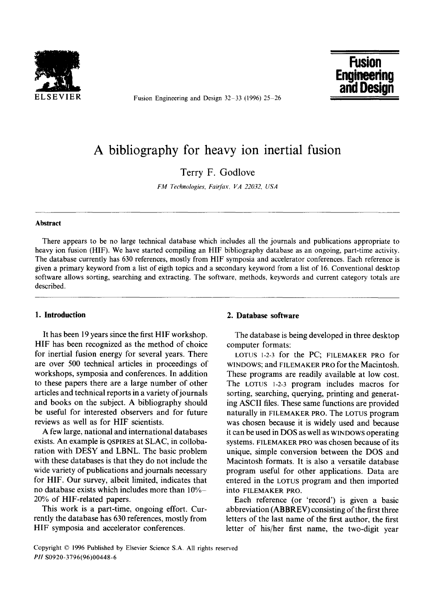

Fusion Engineering and Design  $32-33$  (1996) 25-26



# **A bibliography for heavy ion inertial fusion**

Terry F. Godlove

*FM Technologies, Fairfax, VA 22032, USA* 

#### **Abstract**

There appears to be no large technical database which includes all the journals and publications appropriate to heavy ion fusion (HIF). We have started compiling an HIF bibliography database as an ongoing, part-time activity. The database currently has 630 references, mostly from HIF symposia and accelerator conferences. Each reference is given a primary keyword from a list of eigth topics and a secondary keyword from a list of 16. Conventional desktop software allows sorting, searching and extracting. The software, methods, keywords and current category totals are described.

It has been 19 years since the first HIF workshop. HIF has been recognized as the method of choice for inertial fusion energy for several years. There are over 500 technical articles in proceedings of workshops, symposia and conferences. In addition to these papers there are a large number of other articles and technical reports in a variety of journals and books on the subject. A bibliography should be useful for interested observers and for future reviews as well as for HIF scientists.

A few large, national and international databases exists. An example is QSPIRES at SLAC, in collobaration with DESY and LBNL. The basic problem with these databases is that they do not include the wide variety of publications and journals necessary for HIF. Our survey, albeit limited, indicates that no database exists which includes more than 10%- 20% of HIF-related papers.

This work is a part-time, ongoing effort. Currently the database has 630 references, mostly from HIF symposia and accelerator conferences.

# **I. Introduction 2. Database software**

The database is being developed in three desktop computer formats:

LOTUS 1-2-3 for the PC: FILEMAKER PRO for WINDOWS; and FILEMAKER PRO for the Macintosh. These programs are readily available at low cost. The LOTUS 1-2-3 program includes macros for sorting, searching, querying, printing and generating ASCII files. These same functions are provided naturally in FILEMAKER PRO. The LOTUS program was chosen because it is widely used and because it can be used in DOS as well as WINDOWS operating systems. FILEMAKER PRO was chosen because of its unique, simple conversion between the DOS and Macintosh formats. It is also a versatile database program useful for other applications. Data are entered in the LOTUS program and then imported into FILEMAKER PRO.

Each reference (or 'record') is given a basic abbreviation (ABBREV) consisting of the first three letters of the last name of the first author, the first letter of his/her first name, the two-digit year

Copyright © 1996 Published by Elsevier Science S.A. All rights reserved *PH* S0920-3796(96)00448-6